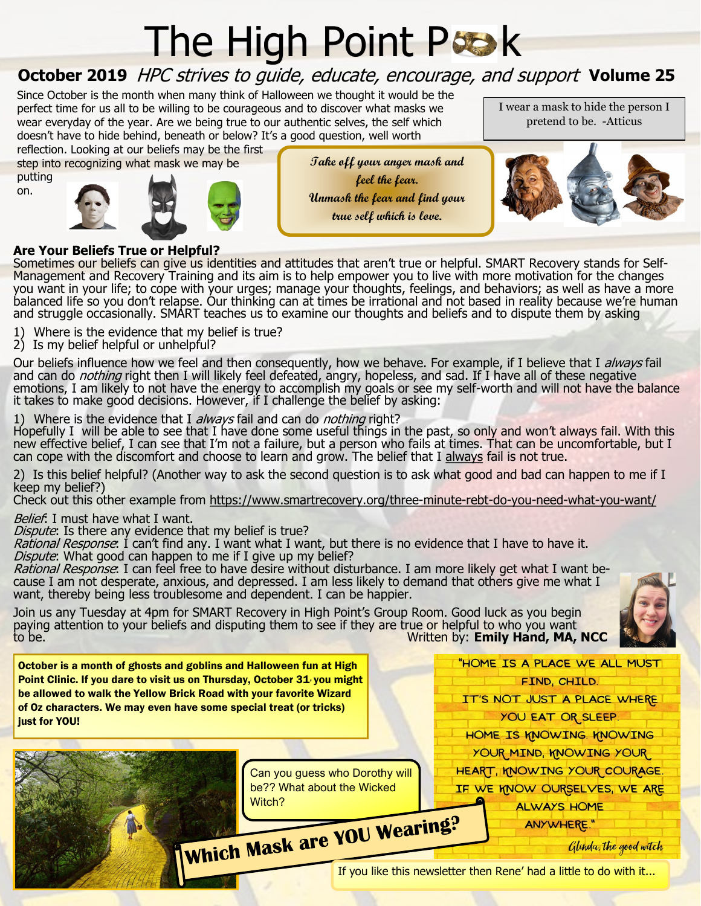## **The High Point Prook**

## **October 2019** HPC strives to guide, educate, encourage, and support Volume 25

Since October is the month when many think of Halloween we thought it would be the perfect time for us all to be willing to be courageous and to discover what masks we wear everyday of the year. Are we being true to our authentic selves, the self which doesn't have to hide behind, beneath or below? It's a good question, well worth

reflection. Looking at our beliefs may be the first step into recognizing what mask we may be

putting on.





**Take off your anger mask and feel the fear. Unmask the fear and find your true self which is love.**

I wear a mask to hide the person I pretend to be. -Atticus



## **Are Your Beliefs True or Helpful?**

Sometimes our beliefs can give us identities and attitudes that aren't true or helpful. SMART Recovery stands for Self-Management and Recovery Training and its aim is to help empower you to live with more motivation for the changes you want in your life; to cope with your urges; manage your thoughts, feelings, and behaviors; as well as have a more balanced life so you don't relapse. Our thinking can at times be irrational and not based in reality because we're human and struggle occasionally. SMART teaches us to examine our thoughts and beliefs and to dispute them by asking

- 1) Where is the evidence that my belief is true?
- 2) Is my belief helpful or unhelpful?

Our beliefs influence how we feel and then consequently, how we behave. For example, if I believe that I always fail and can do *nothing* right then I will likely feel defeated, angry, hopeless, and sad. If I have all of these negative emotions, I am likely to not have the energy to accomplish my goals or see my self-worth and will not have the balance it takes to make good decisions. However, if I challenge the belief by asking:

1) Where is the evidence that I always fail and can do nothing right?

Hopefully I will be able to see that I have done some useful things in the past, so only and won't always fail. With this new effective belief, I can see that I'm not a failure, but a person who fails at times. That can be uncomfortable, but I can cope with the discomfort and choose to learn and grow. The belief that I always fail is not true.

2) Is this belief helpful? (Another way to ask the second question is to ask what good and bad can happen to me if I keep my belief?)

Check out this other example from [https://www.smartrecovery.org/three](https://www.smartrecovery.org/three-minute-rebt-do-you-need-what-you-want/)-minute-rebt-do-you-need-what-you-want/

Belief: I must have what I want.

Dispute: Is there any evidence that my belief is true?

Rational Response: I can't find any. I want what I want, but there is no evidence that I have to have it.

Dispute: What good can happen to me if I give up my belief?

Rational Response: I can feel free to have desire without disturbance. I am more likely get what I want because I am not desperate, anxious, and depressed. I am less likely to demand that others give me what I want, thereby being less troublesome and dependent. I can be happier.

Join us any Tuesday at 4pm for SMART Recovery in High Point's Group Room. Good luck as you begin paying attention to your beliefs and disputing them to see if they are true or helpful to who you want<br>to be. **Written by: Emily Hand, MA, Written by: Emily Hand, MA, NCC** 



October is a month of ghosts and goblins and Halloween fun at High Point Clinic. If you dare to visit us on Thursday, October 31, you might be allowed to walk the Yellow Brick Road with your favorite Wizard of Oz characters. We may even have some special treat (or tricks) just for YOU!

> Can you guess who Dorothy will be?? What about the Wicked

Witch?<br>Which Mask are YOU Wearing?

Glinda, the good witch

"HOME IS A PLACE WE ALL MUST FIND, CHILD. IT'S NOT JUST A PLACE WHERE YOU EAT OR SLEEP. HOME IS KNOWING. KNOWING YOUR MIND, KNOWING YOUR HEART, KNOWING YOUR COURAGE IF WE KNOW OURSELVES, WE ARE **ALWAYS HOME** ANYWHERE."

If you like this newsletter then Rene' had a little to do with it...